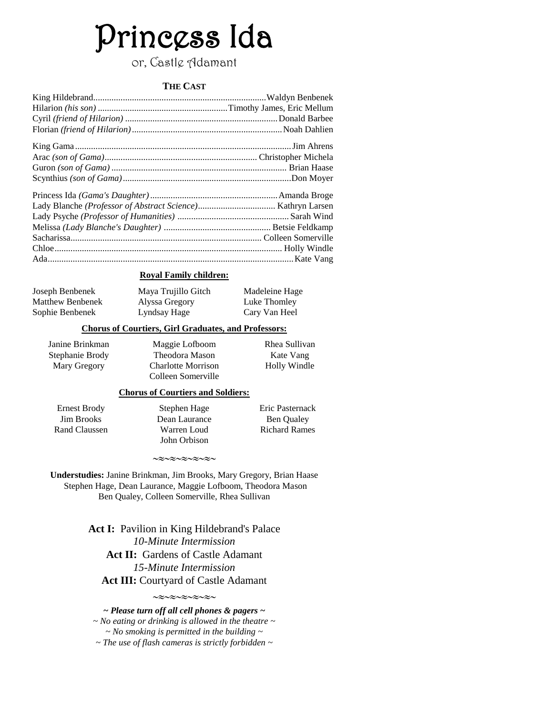# Princess Ida

## or, Castle Adamant

#### **THE CAST**

#### **Royal Family children:**

Joseph Benbenek Matthew Benbenek Sophie Benbenek

Maya Trujillo Gitch Alyssa Gregory Lyndsay Hage

Madeleine Hage Luke Thomley Cary Van Heel

#### **Chorus of Courtiers, Girl Graduates, and Professors:**

Janine Brinkman Stephanie Brody Mary Gregory

Maggie Lofboom Theodora Mason Charlotte Morrison Colleen Somerville Rhea Sullivan Kate Vang Holly Windle

#### **Chorus of Courtiers and Soldiers:**

Ernest Brody Jim Brooks Rand Claussen

Stephen Hage Dean Laurance Warren Loud John Orbison

Eric Pasternack Ben Qualey Richard Rames

 $\sim$  $\approx$  $\sim$  $\approx$  $\sim$  $\approx$  $\sim$  $\approx$  $\sim$ 

**Understudies:** Janine Brinkman, Jim Brooks, Mary Gregory, Brian Haase Stephen Hage, Dean Laurance, Maggie Lofboom, Theodora Mason Ben Qualey, Colleen Somerville, Rhea Sullivan

> **Act I:** Pavilion in King Hildebrand's Palace *10-Minute Intermission* Act II: Gardens of Castle Adamant *15-Minute Intermission* **Act III:** Courtyard of Castle Adamant

> > $\sim$  $\approx$  $\sim$  $\approx$  $\sim$  $\approx$  $\sim$  $\approx$  $\sim$

*~ Please turn off all cell phones & pagers ~ ~ No eating or drinking is allowed in the theatre ~ ~ No smoking is permitted in the building ~ ~ The use of flash cameras is strictly forbidden ~*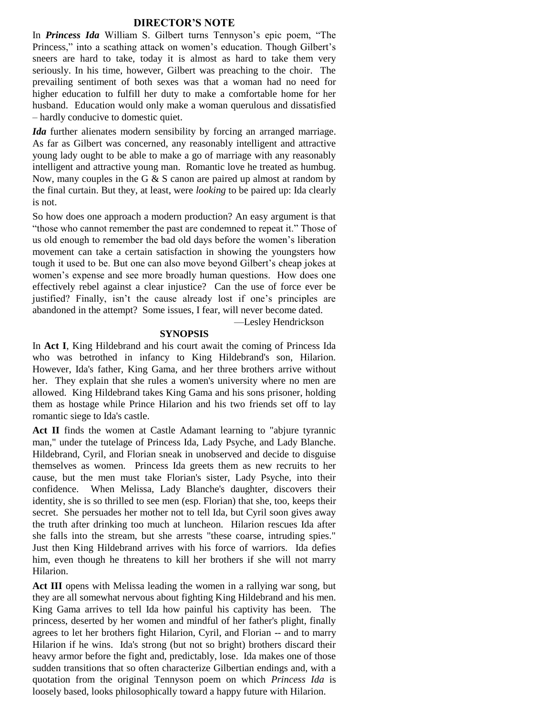#### **DIRECTOR'S NOTE**

In *Princess Ida* William S. Gilbert turns Tennyson's epic poem, "The Princess," into a scathing attack on women's education. Though Gilbert's sneers are hard to take, today it is almost as hard to take them very seriously. In his time, however, Gilbert was preaching to the choir. The prevailing sentiment of both sexes was that a woman had no need for higher education to fulfill her duty to make a comfortable home for her husband. Education would only make a woman querulous and dissatisfied – hardly conducive to domestic quiet.

*Ida* further alienates modern sensibility by forcing an arranged marriage. As far as Gilbert was concerned, any reasonably intelligent and attractive young lady ought to be able to make a go of marriage with any reasonably intelligent and attractive young man. Romantic love he treated as humbug. Now, many couples in the G  $\&$  S canon are paired up almost at random by the final curtain. But they, at least, were *looking* to be paired up: Ida clearly is not.

So how does one approach a modern production? An easy argument is that "those who cannot remember the past are condemned to repeat it." Those of us old enough to remember the bad old days before the women's liberation movement can take a certain satisfaction in showing the youngsters how tough it used to be. But one can also move beyond Gilbert's cheap jokes at women's expense and see more broadly human questions. How does one effectively rebel against a clear injustice? Can the use of force ever be justified? Finally, isn't the cause already lost if one's principles are abandoned in the attempt? Some issues, I fear, will never become dated.

—Lesley Hendrickson

#### **SYNOPSIS**

In **Act I**, King Hildebrand and his court await the coming of Princess Ida who was betrothed in infancy to King Hildebrand's son, Hilarion. However, Ida's father, King Gama, and her three brothers arrive without her. They explain that she rules a women's university where no men are allowed. King Hildebrand takes King Gama and his sons prisoner, holding them as hostage while Prince Hilarion and his two friends set off to lay romantic siege to Ida's castle.

**Act II** finds the women at Castle Adamant learning to "abjure tyrannic man," under the tutelage of Princess Ida, Lady Psyche, and Lady Blanche. Hildebrand, Cyril, and Florian sneak in unobserved and decide to disguise themselves as women. Princess Ida greets them as new recruits to her cause, but the men must take Florian's sister, Lady Psyche, into their confidence. When Melissa, Lady Blanche's daughter, discovers their identity, she is so thrilled to see men (esp. Florian) that she, too, keeps their secret. She persuades her mother not to tell Ida, but Cyril soon gives away the truth after drinking too much at luncheon. Hilarion rescues Ida after she falls into the stream, but she arrests "these coarse, intruding spies." Just then King Hildebrand arrives with his force of warriors. Ida defies him, even though he threatens to kill her brothers if she will not marry Hilarion.

**Act III** opens with Melissa leading the women in a rallying war song, but they are all somewhat nervous about fighting King Hildebrand and his men. King Gama arrives to tell Ida how painful his captivity has been. The princess, deserted by her women and mindful of her father's plight, finally agrees to let her brothers fight Hilarion, Cyril, and Florian -- and to marry Hilarion if he wins. Ida's strong (but not so bright) brothers discard their heavy armor before the fight and, predictably, lose. Ida makes one of those sudden transitions that so often characterize Gilbertian endings and, with a quotation from the original Tennyson poem on which *Princess Ida* is loosely based, looks philosophically toward a happy future with Hilarion.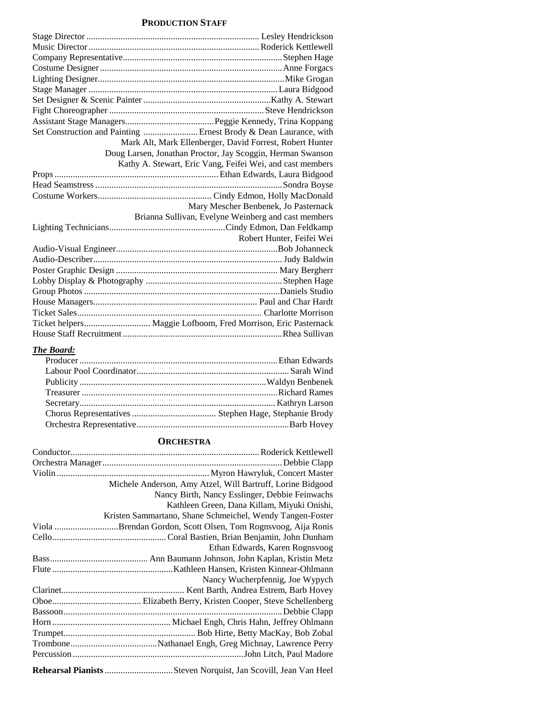#### **PRODUCTION STAFF**

| Set Construction and Painting  Ernest Brody & Dean Laurance, with |
|-------------------------------------------------------------------|
| Mark Alt, Mark Ellenberger, David Forrest, Robert Hunter          |
| Doug Larsen, Jonathan Proctor, Jay Scoggin, Herman Swanson        |
| Kathy A. Stewart, Eric Vang, Feifei Wei, and cast members         |
|                                                                   |
|                                                                   |
|                                                                   |
| Mary Mescher Benbenek, Jo Pasternack                              |
| Brianna Sullivan, Evelyne Weinberg and cast members               |
|                                                                   |
| Robert Hunter, Feifei Wei                                         |
|                                                                   |
|                                                                   |
|                                                                   |
|                                                                   |
|                                                                   |
|                                                                   |
|                                                                   |
|                                                                   |
|                                                                   |

#### *The Board:*

#### **ORCHESTRA**

| Michele Anderson, Amy Atzel, Will Bartruff, Lorine Bidgood     |
|----------------------------------------------------------------|
| Nancy Birth, Nancy Esslinger, Debbie Feinwachs                 |
| Kathleen Green, Dana Killam, Miyuki Onishi,                    |
| Kristen Sammartano, Shane Schmeichel, Wendy Tangen-Foster      |
| Viola Brendan Gordon, Scott Olsen, Tom Rognsvoog, Aija Ronis   |
|                                                                |
| Ethan Edwards, Karen Rognsvoog                                 |
|                                                                |
|                                                                |
| Nancy Wucherpfennig, Joe Wypych                                |
|                                                                |
|                                                                |
|                                                                |
|                                                                |
|                                                                |
|                                                                |
|                                                                |
| Rehearsal Pianists Steven Norquist, Jan Scovill, Jean Van Heel |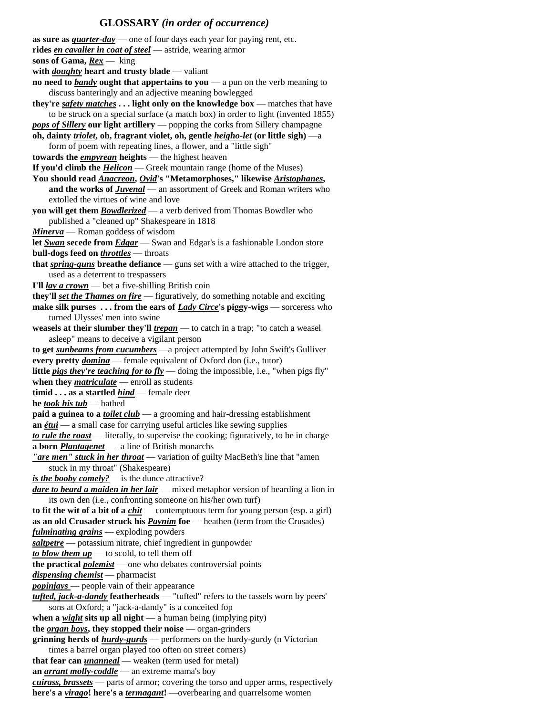## **GLOSSARY** *(in order of occurrence)*

| as sure as $\frac{quarter-day}{}$ one of four days each year for paying rent, etc.                                                                                           |
|------------------------------------------------------------------------------------------------------------------------------------------------------------------------------|
| rides <i>en cavalier in coat of steel</i> - astride, wearing armor                                                                                                           |
| sons of Gama, $Rex$ — king                                                                                                                                                   |
| with $doughty$ heart and trusty blade — valiant                                                                                                                              |
| no need to <b>bandy</b> ought that appertains to you $-$ a pun on the verb meaning to                                                                                        |
| discuss banteringly and an adjective meaning bowlegged                                                                                                                       |
| they're safety matches light only on the knowledge box - matches that have                                                                                                   |
| to be struck on a special surface (a match box) in order to light (invented 1855)                                                                                            |
| pops of Sillery our light artillery — popping the corks from Sillery champagne                                                                                               |
| oh, dainty <i>triolet</i> , oh, fragrant violet, oh, gentle <i>heigho-let</i> (or little sigh) -a                                                                            |
| form of poem with repeating lines, a flower, and a "little sigh"                                                                                                             |
| towards the <i>empyrean</i> heights — the highest heaven                                                                                                                     |
| If you'd climb the $Helicon$ – Greek mountain range (home of the Muses)                                                                                                      |
| You should read Anacreon, Ovid's "Metamorphoses," likewise Aristophanes,                                                                                                     |
| and the works of <b>Juvenal</b> - an assortment of Greek and Roman writers who                                                                                               |
| extolled the virtues of wine and love                                                                                                                                        |
| you will get them <b>Bowdlerized</b> - a verb derived from Thomas Bowdler who                                                                                                |
| published a "cleaned up" Shakespeare in 1818                                                                                                                                 |
| <b>Minerva</b> — Roman goddess of wisdom                                                                                                                                     |
| let Swan secede from Edgar - Swan and Edgar's is a fashionable London store                                                                                                  |
| bull-dogs feed on <i>throttles</i> - throats                                                                                                                                 |
| that <i>spring-guns</i> breathe defiance — guns set with a wire attached to the trigger,                                                                                     |
| used as a deterrent to trespassers                                                                                                                                           |
| I'll <i>lay a crown</i> — bet a five-shilling British coin                                                                                                                   |
|                                                                                                                                                                              |
| they'll set the Thames on fire - figuratively, do something notable and exciting                                                                                             |
| make silk purses  from the ears of <i>Lady Circe</i> 's piggy-wigs — sorceress who                                                                                           |
| turned Ulysses' men into swine                                                                                                                                               |
| weasels at their slumber they'll $t$ repan — to catch in a trap; "to catch a weasel                                                                                          |
| asleep" means to deceive a vigilant person                                                                                                                                   |
| to get <i>sunbeams from cucumbers</i> - a project attempted by John Swift's Gulliver                                                                                         |
| every pretty <i>domina</i> - female equivalent of Oxford don (i.e., tutor)                                                                                                   |
| <b>little <i>pigs they're teaching for to fly</i></b> — doing the impossible, i.e., "when pigs fly"                                                                          |
| when they $\textit{matricular}$ - enroll as students                                                                                                                         |
| timid as a startled $\frac{hind}{}$ – female deer                                                                                                                            |
| he took his tub — bathed                                                                                                                                                     |
| <b>paid a guinea to a <i>toilet club</i></b> — a grooming and hair-dressing establishment                                                                                    |
| an $\frac{\'{e}tui$ — a small case for carrying useful articles like sewing supplies                                                                                         |
| to rule the roast - literally, to supervise the cooking; figuratively, to be in charge                                                                                       |
| a born <b>Plantagenet</b> — a line of British monarchs                                                                                                                       |
| "are men" stuck in her throat — variation of guilty MacBeth's line that "amen"                                                                                               |
| stuck in my throat" (Shakespeare)                                                                                                                                            |
| <i>is the booby comely?</i> — is the dunce attractive?                                                                                                                       |
| dare to beard a maiden in her lair - mixed metaphor version of bearding a lion in                                                                                            |
| its own den (i.e., confronting someone on his/her own turf)                                                                                                                  |
| to fit the wit of a bit of a $\frac{chit}{ }$ - contemptuous term for young person (esp. a girl)                                                                             |
| as an old Crusader struck his <i>Paynim</i> foe - heathen (term from the Crusades)                                                                                           |
| <i>fulminating grains</i> - exploding powders                                                                                                                                |
| saltpetre — potassium nitrate, chief ingredient in gunpowder                                                                                                                 |
| to blow them $up$ — to scold, to tell them off                                                                                                                               |
| the practical <i>polemist</i> — one who debates controversial points                                                                                                         |
| <i>dispensing chemist</i> — pharmacist                                                                                                                                       |
| <i>popiniays</i> — people vain of their appearance                                                                                                                           |
| tufted, jack-a-dandy featherheads — "tufted" refers to the tassels worn by peers'                                                                                            |
| sons at Oxford; a "jack-a-dandy" is a conceited fop                                                                                                                          |
| when a <i>wight</i> sits up all night $-$ a human being (implying pity)                                                                                                      |
| the $organ$ boys, they stopped their noise $-$ organ-grinders                                                                                                                |
| grinning herds of $hur \frac{dv \cdot gur}{ds}$ — performers on the hurdy-gurdy (n Victorian                                                                                 |
| times a barrel organ played too often on street corners)                                                                                                                     |
| that fear can <i>unanneal</i> - weaken (term used for metal)                                                                                                                 |
| an <i>arrant molly-coddle</i> — an extreme mama's boy                                                                                                                        |
|                                                                                                                                                                              |
|                                                                                                                                                                              |
| cuirass, brassets — parts of armor; covering the torso and upper arms, respectively<br>here's a <i>virago!</i> here's a <i>termagant!</i> —overbearing and quarrelsome women |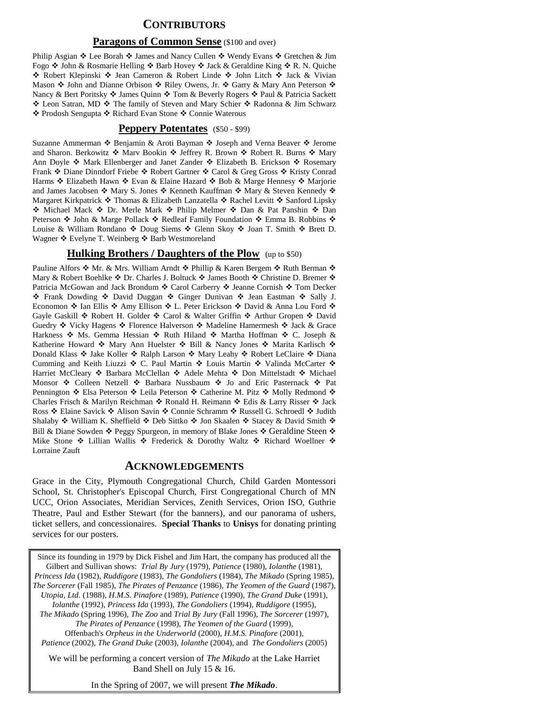### **CONTRIBUTORS**

#### **Paragons of Common Sense** (\$100 and over)

Philip Asgian  $\div$  Lee Borah  $\div$  James and Nancy Cullen  $\div$  Wendy Evans  $\div$  Gretchen & Jim Fogo  $\div$  John & Rosmarie Helling  $\div$  Barb Hovey  $\div$  Jack & Geraldine King  $\div$  R. N. Quiche ◆ Robert Klepinski ◆ Jean Cameron & Robert Linde ◆ John Litch ◆ Jack & Vivian Mason  $\cdot$  John and Dianne Orbison  $\cdot$  Riley Owens, Jr.  $\cdot$  Garry & Mary Ann Peterson  $\cdot$ Nancy & Bert Poritsky  $\cdot \cdot$  James Quinn  $\cdot \cdot$  Tom & Beverly Rogers  $\cdot \cdot$  Paul & Patricia Sackett ◆ Leon Satran, MD ◆ The family of Steven and Mary Schier ◆ Radonna & Jim Schwarz ◆ Prodosh Sengupta ◆ Richard Evan Stone ◆ Connie Waterous

#### **Peppery Potentates** (\$50 - \$99)

Suzanne Ammerman  $\cdot$  Benjamin & Aroti Bayman  $\cdot$  Joseph and Verna Beaver  $\cdot$  Jerome and Sharon. Berkowitz  $\cdot \cdot$  Marv Bookin  $\cdot \cdot$  Jeffrey R. Brown  $\cdot \cdot$  Robert R. Burns  $\cdot \cdot$  Mary Ann Doyle  $\triangleleft$  Mark Ellenberger and Janet Zander  $\triangleleft$  Elizabeth B. Erickson  $\triangleleft$  Rosemary Frank ❖ Diane Dinndorf Friebe ❖ Robert Gartner ❖ Carol & Greg Gross ❖ Kristy Conrad Harms ❖ Elizabeth Hawn ❖ Evan & Elaine Hazard ❖ Bob & Marge Hennesy ❖ Marjorie and James Jacobsen ❖ Mary S. Jones ❖ Kenneth Kauffman ❖ Mary & Steven Kennedy ❖ Margaret Kirkpatrick ❖ Thomas & Elizabeth Lanzatella ❖ Rachel Levitt ❖ Sanford Lipsky ◆ Michael Mack ◆ Dr. Merle Mark ◆ Philip Melmer ◆ Dan & Pat Panshin ◆ Dan Peterson  $*$  John & Marge Pollack  $*$  Redleaf Family Foundation  $*$  Emma B. Robbins  $*$ Louise & William Rondano  $\triangle$  Doug Siems  $\triangle$  Glenn Skoy  $\triangle$  Joan T. Smith  $\triangle$  Brett D. Wagner  $\triangleleft$  Evelyne T. Weinberg  $\triangleleft$  Barb Westmoreland

#### **Hulking Brothers / Daughters of the Plow** (up to \$50)

Pauline Alfors  $\cdot \cdot$  Mr. & Mrs. William Arndt  $\cdot \cdot$  Phillip & Karen Bergem  $\cdot \cdot$  Ruth Berman  $\cdot \cdot$ Mary & Robert Boehlke  $\triangleleft$  Dr. Charles J. Boltuck  $\triangleleft$  James Booth  $\triangleleft$  Christine D. Bremer  $\triangleleft$ Patricia McGowan and Jack Brondum  $\triangleleft$  Carol Carberry  $\triangleleft$  Jeanne Cornish  $\triangleleft$  Tom Decker \* Frank Dowding \* David Duggan \* Ginger Dunivan \* Jean Eastman \* Sally J. Economon ❖ Ian Ellis ❖ Amy Ellison ❖ L. Peter Erickson ❖ David & Anna Lou Ford ❖ Gayle Gaskill  $\triangle$  Robert H. Golder  $\triangle$  Carol & Walter Griffin  $\triangle$  Arthur Gropen  $\triangle$  David Guedry ❖ Vicky Hagens ❖ Florence Halverson ❖ Madeline Hamermesh ❖ Jack & Grace Harkness  $\div$  Ms. Gemma Hessian  $\div$  Ruth Hiland  $\div$  Martha Hoffman  $\div$  C. Joseph & Katherine Howard  $*$  Mary Ann Huelster  $*$  Bill & Nancy Jones  $*$  Marita Karlisch  $*$ Donald Klass ❖ Jake Koller ❖ Ralph Larson ❖ Mary Leahy ❖ Robert LeClaire ❖ Diana Cumming and Keith Liuzzi ❖ C. Paul Martin ❖ Louis Martin ❖ Valinda McCarter ❖ Harriet McCleary ❖ Barbara McClellan ❖ Adele Mehta ❖ Don Mittelstadt ❖ Michael Monsor  $\cdot$  Colleen Netzell  $\cdot$  Barbara Nussbaum  $\cdot$  Jo and Eric Pasternack  $\cdot$  Pat Pennington ❖ Elsa Peterson ❖ Leila Peterson ❖ Catherine M. Pitz ❖ Molly Redmond ❖ Charles Frisch & Marilyn Reichman ◆ Ronald H. Reimann ◆ Edis & Larry Risser ◆ Jack Ross  $\triangle$  Elaine Savick  $\triangle$  Alison Savin  $\triangle$  Connie Schramm  $\triangle$  Russell G. Schroedl  $\triangle$  Judith Shalaby  $\div$  William K. Sheffield  $\div$  Deb Sittko  $\div$  Jon Skaalen  $\div$  Stacey & David Smith  $\div$ Bill & Diane Sowden  $\clubsuit$  Peggy Spurgeon, in memory of Blake Jones  $\clubsuit$  Geraldine Steen  $\clubsuit$ Mike Stone  $\cdot$  Lillian Wallis  $\cdot$  Frederick & Dorothy Waltz  $\cdot$  Richard Woellner  $\cdot$ Lorraine Zauft

#### **ACKNOWLEDGEMENTS**

Grace in the City, Plymouth Congregational Church, Child Garden Montessori School, St. Christopher's Episcopal Church, First Congregational Church of MN UCC, Orion Associates, Meridian Services, Zenith Services, Orion ISO, Guthrie Theatre, Paul and Esther Stewart (for the banners), and our panorama of ushers, ticket sellers, and concessionaires. **Special Thanks** to **Unisys** for donating printing services for our posters.

Since its founding in 1979 by Dick Fishel and Jim Hart, the company has produced all the Gilbert and Sullivan shows: *Trial By Jury* (1979), *Patience* (1980), *Iolanthe* (1981), *Princess Ida* (1982), *Ruddigore* (1983), *The Gondoliers* (1984), *The Mikado* (Spring 1985), *The Sorcerer* (Fall 1985), *The Pirates of Penzance* (1986), *The Yeomen of the Guard* (1987), *Utopia, Ltd.* (1988), *H.M.S. Pinafore* (1989), *Patience* (1990), *The Grand Duke* (1991), *Iolanthe* (1992), *Princess Ida* (1993), *The Gondoliers* (1994), *Ruddigore* (1995), *The Mikado* (Spring 1996), *The Zoo* and *Trial By Jury* (Fall 1996), *The Sorcerer* (1997), *The Pirates of Penzance* (1998), *The Yeomen of the Guard* (1999), Offenbach's *Orpheus in the Underworld* (2000), *H.M.S. Pinafore* (2001), *Patience* (2002), *The Grand Duke* (2003), *Iolanthe* (2004), and *The Gondoliers* (2005)

We will be performing a concert version of *The Mikado* at the Lake Harriet Band Shell on July 15 & 16.

In the Spring of 2007, we will present *The Mikado*.